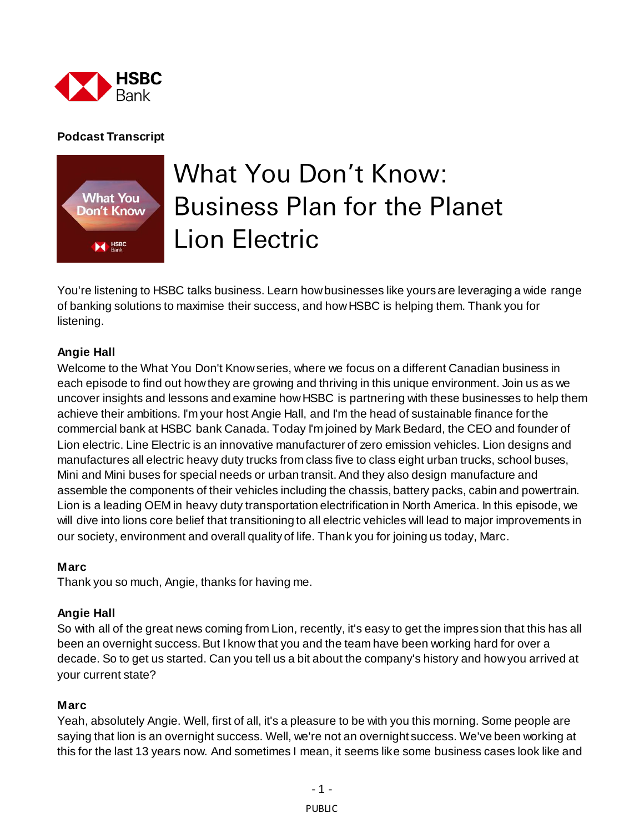

# **Podcast Transcript**



# **What You Don't Know: Business Plan for the Planet Lion Electric**

You're listening to HSBC talks business. Learn how businesses like yours are leveraging a wide range of banking solutions to maximise their success, and how HSBC is helping them. Thank you for listening.

#### **Angie Hall**

Welcome to the What You Don't Know series, where we focus on a different Canadian business in each episode to find out how they are growing and thriving in this unique environment. Join us as we uncover insights and lessons and examine how HSBC is partnering with these businesses to help them achieve their ambitions. I'm your host Angie Hall, and I'm the head of sustainable finance for the commercial bank at HSBC bank Canada. Today I'm joined by Mark Bedard, the CEO and founder of Lion electric. Line Electric is an innovative manufacturer of zero emission vehicles. Lion designs and manufactures all electric heavy duty trucks from class five to class eight urban trucks, school buses, Mini and Mini buses for special needs or urban transit. And they also design manufacture and assemble the components of their vehicles including the chassis, battery packs, cabin and powertrain. Lion is a leading OEM in heavy duty transportation electrification in North America. In this episode, we will dive into lions core belief that transitioning to all electric vehicles will lead to major improvements in our society, environment and overall quality of life. Thank you for joining us today, Marc.

#### **Marc**

Thank you so much, Angie, thanks for having me.

#### **Angie Hall**

So with all of the great news coming from Lion, recently, it's easy to get the impression that this has all been an overnight success. But I know that you and the team have been working hard for over a decade. So to get us started. Can you tell us a bit about the company's history and how you arrived at your current state?

#### **Marc**

Yeah, absolutely Angie. Well, first of all, it's a pleasure to be with you this morning. Some people are saying that lion is an overnight success. Well, we're not an overnight success. We've been working at this for the last 13 years now. And sometimes I mean, it seems like some business cases look like and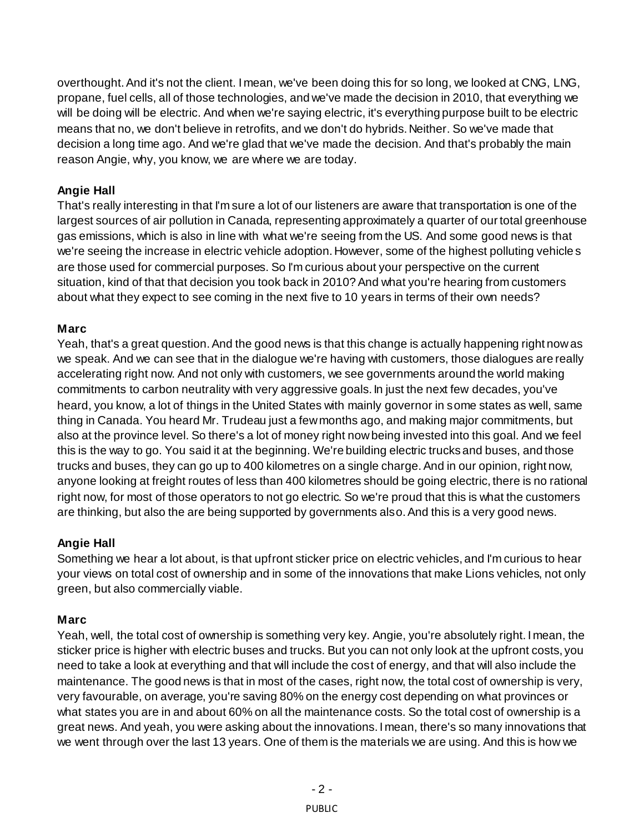overthought. And it's not the client. I mean, we've been doing this for so long, we looked at CNG, LNG, propane, fuel cells, all of those technologies, and we've made the decision in 2010, that everything we will be doing will be electric. And when we're saying electric, it's everything purpose built to be electric means that no, we don't believe in retrofits, and we don't do hybrids. Neither. So we've made that decision a long time ago. And we're glad that we've made the decision. And that's probably the main reason Angie, why, you know, we are where we are today.

# **Angie Hall**

That's really interesting in that I'm sure a lot of our listeners are aware that transportation is one of the largest sources of air pollution in Canada, representing approximately a quarter of our total greenhouse gas emissions, which is also in line with what we're seeing from the US. And some good news is that we're seeing the increase in electric vehicle adoption. However, some of the highest polluting vehicle s are those used for commercial purposes. So I'm curious about your perspective on the current situation, kind of that that decision you took back in 2010? And what you're hearing from customers about what they expect to see coming in the next five to 10 years in terms of their own needs?

# **Marc**

Yeah, that's a great question. And the good news is that this change is actually happening right now as we speak. And we can see that in the dialogue we're having with customers, those dialogues are really accelerating right now. And not only with customers, we see governments around the world making commitments to carbon neutrality with very aggressive goals. In just the next few decades, you've heard, you know, a lot of things in the United States with mainly governor in some states as well, same thing in Canada. You heard Mr. Trudeau just a few months ago, and making major commitments, but also at the province level. So there's a lot of money right now being invested into this goal. And we feel this is the way to go. You said it at the beginning. We're building electric trucks and buses, and those trucks and buses, they can go up to 400 kilometres on a single charge. And in our opinion, right now, anyone looking at freight routes of less than 400 kilometres should be going electric, there is no rational right now, for most of those operators to not go electric. So we're proud that this is what the customers are thinking, but also the are being supported by governments also. And this is a very good news.

## **Angie Hall**

Something we hear a lot about, is that upfront sticker price on electric vehicles, and I'm curious to hear your views on total cost of ownership and in some of the innovations that make Lions vehicles, not only green, but also commercially viable.

# **Marc**

Yeah, well, the total cost of ownership is something very key. Angie, you're absolutely right. I mean, the sticker price is higher with electric buses and trucks. But you can not only look at the upfront costs, you need to take a look at everything and that will include the cost of energy, and that will also include the maintenance. The good news is that in most of the cases, right now, the total cost of ownership is very, very favourable, on average, you're saving 80% on the energy cost depending on what provinces or what states you are in and about 60% on all the maintenance costs. So the total cost of ownership is a great news. And yeah, you were asking about the innovations. I mean, there's so many innovations that we went through over the last 13 years. One of them is the materials we are using. And this is how we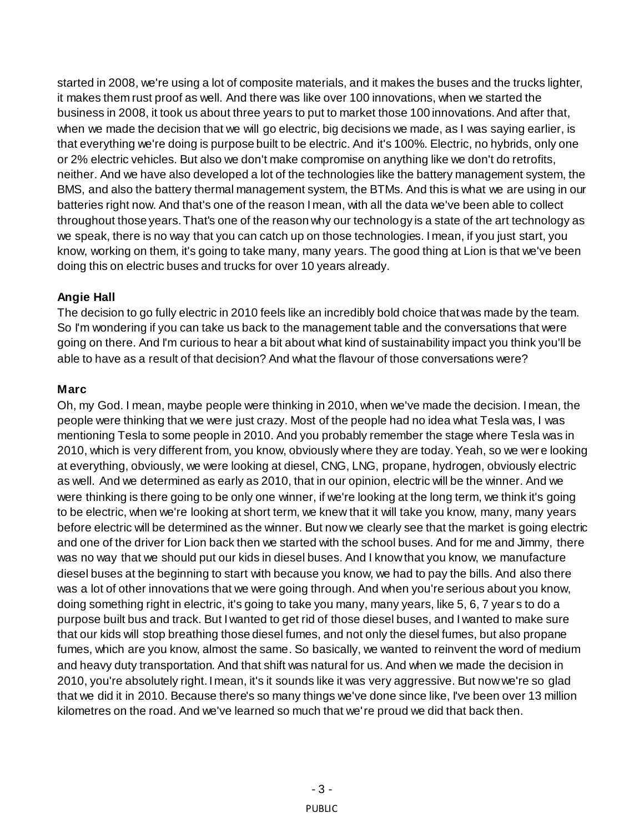started in 2008, we're using a lot of composite materials, and it makes the buses and the trucks lighter, it makes them rust proof as well. And there was like over 100 innovations, when we started the business in 2008, it took us about three years to put to market those 100 innovations. And after that, when we made the decision that we will go electric, big decisions we made, as I was saying earlier, is that everything we're doing is purpose built to be electric. And it's 100%. Electric, no hybrids, only one or 2% electric vehicles. But also we don't make compromise on anything like we don't do retrofits, neither. And we have also developed a lot of the technologies like the battery management system, the BMS, and also the battery thermal management system, the BTMs. And this is what we are using in our batteries right now. And that's one of the reason I mean, with all the data we've been able to collect throughout those years. That's one of the reason why our technology is a state of the art technology as we speak, there is no way that you can catch up on those technologies. I mean, if you just start, you know, working on them, it's going to take many, many years. The good thing at Lion is that we've been doing this on electric buses and trucks for over 10 years already.

# **Angie Hall**

The decision to go fully electric in 2010 feels like an incredibly bold choice that was made by the team. So I'm wondering if you can take us back to the management table and the conversations that were going on there. And I'm curious to hear a bit about what kind of sustainability impact you think you'll be able to have as a result of that decision? And what the flavour of those conversations were?

# **Marc**

Oh, my God. I mean, maybe people were thinking in 2010, when we've made the decision. I mean, the people were thinking that we were just crazy. Most of the people had no idea what Tesla was, I was mentioning Tesla to some people in 2010. And you probably remember the stage where Tesla was in 2010, which is very different from, you know, obviously where they are today. Yeah, so we wer e looking at everything, obviously, we were looking at diesel, CNG, LNG, propane, hydrogen, obviously electric as well. And we determined as early as 2010, that in our opinion, electric will be the winner. And we were thinking is there going to be only one winner, if we're looking at the long term, we think it's going to be electric, when we're looking at short term, we knew that it will take you know, many, many years before electric will be determined as the winner. But now we clearly see that the market is going electric and one of the driver for Lion back then we started with the school buses. And for me and Jimmy, there was no way that we should put our kids in diesel buses. And I know that you know, we manufacture diesel buses at the beginning to start with because you know, we had to pay the bills. And also there was a lot of other innovations that we were going through. And when you're serious about you know, doing something right in electric, it's going to take you many, many years, like 5, 6, 7 year s to do a purpose built bus and track. But I wanted to get rid of those diesel buses, and I wanted to make sure that our kids will stop breathing those diesel fumes, and not only the diesel fumes, but also propane fumes, which are you know, almost the same. So basically, we wanted to reinvent the word of medium and heavy duty transportation. And that shift was natural for us. And when we made the decision in 2010, you're absolutely right. I mean, it's it sounds like it was very aggressive. But now we're so glad that we did it in 2010. Because there's so many things we've done since like, I've been over 13 million kilometres on the road. And we've learned so much that we're proud we did that back then.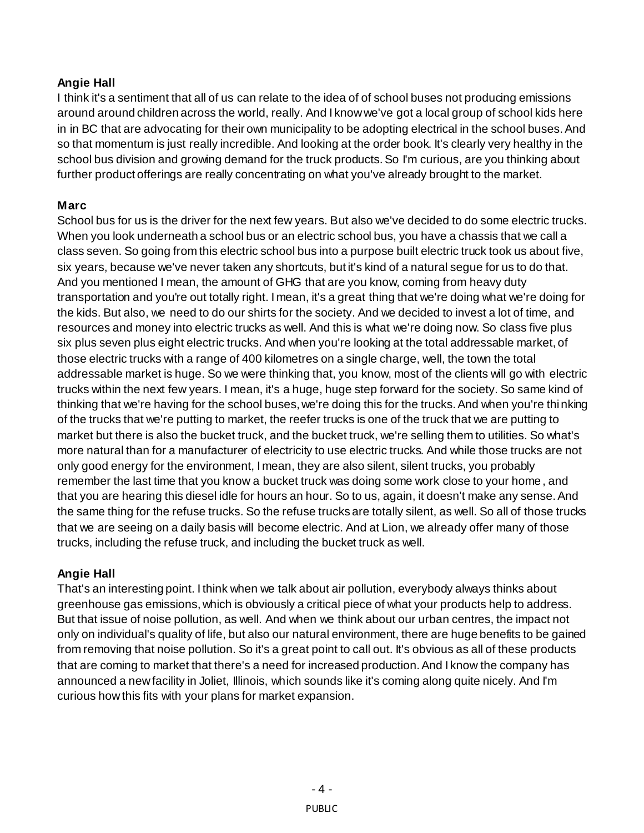## **Angie Hall**

I think it's a sentiment that all of us can relate to the idea of of school buses not producing emissions around around children across the world, really. And I know we've got a local group of school kids here in in BC that are advocating for their own municipality to be adopting electrical in the school buses. And so that momentum is just really incredible. And looking at the order book. It's clearly very healthy in the school bus division and growing demand for the truck products. So I'm curious, are you thinking about further product offerings are really concentrating on what you've already brought to the market.

#### **Marc**

School bus for us is the driver for the next few years. But also we've decided to do some electric trucks. When you look underneath a school bus or an electric school bus, you have a chassis that we call a class seven. So going from this electric school bus into a purpose built electric truck took us about five, six years, because we've never taken any shortcuts, but it's kind of a natural segue for us to do that. And you mentioned I mean, the amount of GHG that are you know, coming from heavy duty transportation and you're out totally right. I mean, it's a great thing that we're doing what we're doing for the kids. But also, we need to do our shirts for the society. And we decided to invest a lot of time, and resources and money into electric trucks as well. And this is what we're doing now. So class five plus six plus seven plus eight electric trucks. And when you're looking at the total addressable market, of those electric trucks with a range of 400 kilometres on a single charge, well, the town the total addressable market is huge. So we were thinking that, you know, most of the clients will go with electric trucks within the next few years. I mean, it's a huge, huge step forward for the society. So same kind of thinking that we're having for the school buses, we're doing this for the trucks. And when you're thinking of the trucks that we're putting to market, the reefer trucks is one of the truck that we are putting to market but there is also the bucket truck, and the bucket truck, we're selling them to utilities. So what's more natural than for a manufacturer of electricity to use electric trucks. And while those trucks are not only good energy for the environment, I mean, they are also silent, silent trucks, you probably remember the last time that you know a bucket truck was doing some work close to your home, and that you are hearing this diesel idle for hours an hour. So to us, again, it doesn't make any sense. And the same thing for the refuse trucks. So the refuse trucks are totally silent, as well. So all of those trucks that we are seeing on a daily basis will become electric. And at Lion, we already offer many of those trucks, including the refuse truck, and including the bucket truck as well.

#### **Angie Hall**

That's an interesting point. I think when we talk about air pollution, everybody always thinks about greenhouse gas emissions, which is obviously a critical piece of what your products help to address. But that issue of noise pollution, as well. And when we think about our urban centres, the impact not only on individual's quality of life, but also our natural environment, there are huge benefits to be gained from removing that noise pollution. So it's a great point to call out. It's obvious as all of these products that are coming to market that there's a need for increased production. And I know the company has announced a new facility in Joliet, Illinois, which sounds like it's coming along quite nicely. And I'm curious how this fits with your plans for market expansion.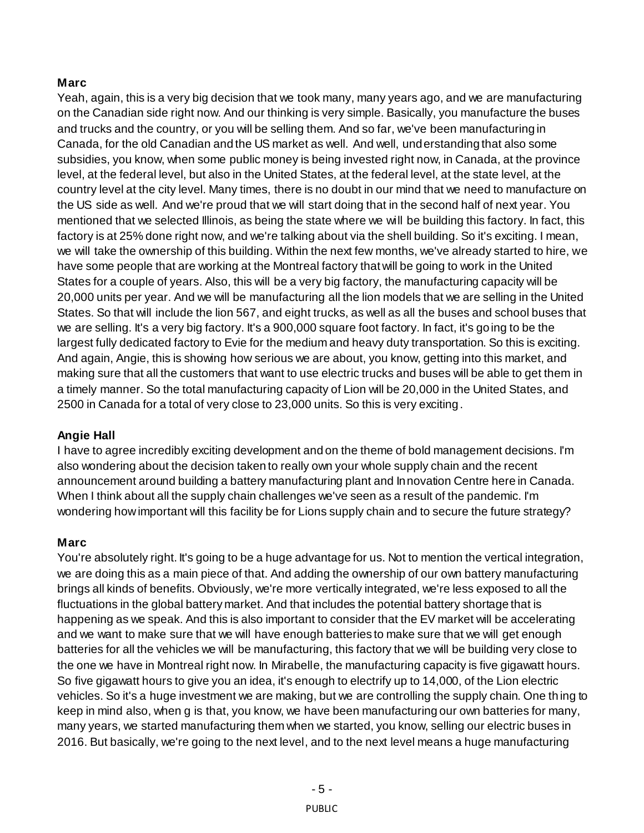### **Marc**

Yeah, again, this is a very big decision that we took many, many years ago, and we are manufacturing on the Canadian side right now. And our thinking is very simple. Basically, you manufacture the buses and trucks and the country, or you will be selling them. And so far, we've been manufacturing in Canada, for the old Canadian and the US market as well. And well, understanding that also some subsidies, you know, when some public money is being invested right now, in Canada, at the province level, at the federal level, but also in the United States, at the federal level, at the state level, at the country level at the city level. Many times, there is no doubt in our mind that we need to manufacture on the US side as well. And we're proud that we will start doing that in the second half of next year. You mentioned that we selected Illinois, as being the state where we will be building this factory. In fact, this factory is at 25% done right now, and we're talking about via the shell building. So it's exciting. I mean, we will take the ownership of this building. Within the next few months, we've already started to hire, we have some people that are working at the Montreal factory that will be going to work in the United States for a couple of years. Also, this will be a very big factory, the manufacturing capacity will be 20,000 units per year. And we will be manufacturing all the lion models that we are selling in the United States. So that will include the lion 567, and eight trucks, as well as all the buses and school buses that we are selling. It's a very big factory. It's a 900,000 square foot factory. In fact, it's going to be the largest fully dedicated factory to Evie for the medium and heavy duty transportation. So this is exciting. And again, Angie, this is showing how serious we are about, you know, getting into this market, and making sure that all the customers that want to use electric trucks and buses will be able to get them in a timely manner. So the total manufacturing capacity of Lion will be 20,000 in the United States, and 2500 in Canada for a total of very close to 23,000 units. So this is very exciting.

#### **Angie Hall**

I have to agree incredibly exciting development and on the theme of bold management decisions. I'm also wondering about the decision taken to really own your whole supply chain and the recent announcement around building a battery manufacturing plant and Innovation Centre here in Canada. When I think about all the supply chain challenges we've seen as a result of the pandemic. I'm wondering how important will this facility be for Lions supply chain and to secure the future strategy?

#### **Marc**

You're absolutely right. It's going to be a huge advantage for us. Not to mention the vertical integration, we are doing this as a main piece of that. And adding the ownership of our own battery manufacturing brings all kinds of benefits. Obviously, we're more vertically integrated, we're less exposed to all the fluctuations in the global battery market. And that includes the potential battery shortage that is happening as we speak. And this is also important to consider that the EV market will be accelerating and we want to make sure that we will have enough batteries to make sure that we will get enough batteries for all the vehicles we will be manufacturing, this factory that we will be building very close to the one we have in Montreal right now. In Mirabelle, the manufacturing capacity is five gigawatt hours. So five gigawatt hours to give you an idea, it's enough to electrify up to 14,000, of the Lion electric vehicles. So it's a huge investment we are making, but we are controlling the supply chain. One th ing to keep in mind also, when g is that, you know, we have been manufacturing our own batteries for many, many years, we started manufacturing them when we started, you know, selling our electric buses in 2016. But basically, we're going to the next level, and to the next level means a huge manufacturing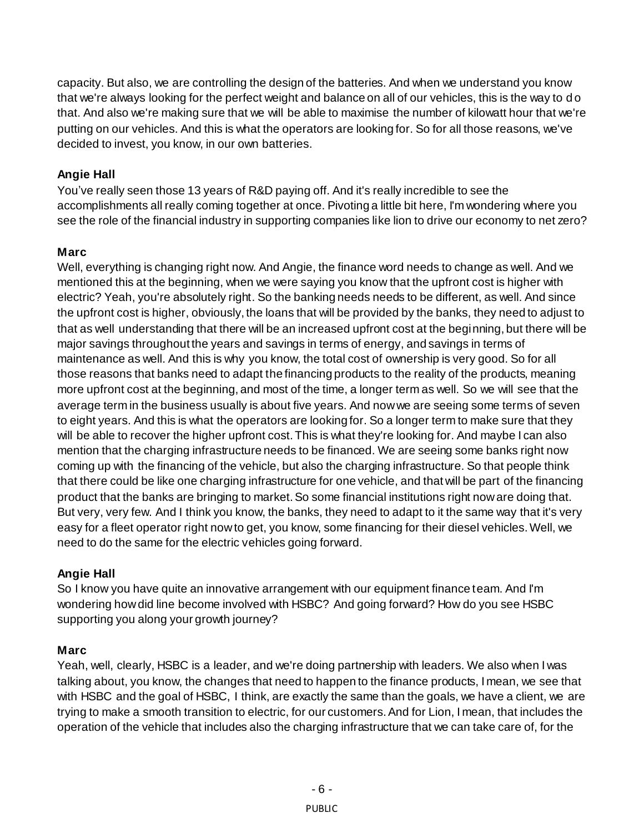capacity. But also, we are controlling the design of the batteries. And when we understand you know that we're always looking for the perfect weight and balance on all of our vehicles, this is the way to d o that. And also we're making sure that we will be able to maximise the number of kilowatt hour that we're putting on our vehicles. And this is what the operators are looking for. So for all those reasons, we've decided to invest, you know, in our own batteries.

## **Angie Hall**

You've really seen those 13 years of R&D paying off. And it's really incredible to see the accomplishments all really coming together at once. Pivoting a little bit here, I'm wondering where you see the role of the financial industry in supporting companies like lion to drive our economy to net zero?

# **Marc**

Well, everything is changing right now. And Angie, the finance word needs to change as well. And we mentioned this at the beginning, when we were saying you know that the upfront cost is higher with electric? Yeah, you're absolutely right. So the banking needs needs to be different, as well. And since the upfront cost is higher, obviously, the loans that will be provided by the banks, they need to adjust to that as well understanding that there will be an increased upfront cost at the beginning, but there will be major savings throughout the years and savings in terms of energy, and savings in terms of maintenance as well. And this is why you know, the total cost of ownership is very good. So for all those reasons that banks need to adapt the financing products to the reality of the products, meaning more upfront cost at the beginning, and most of the time, a longer term as well. So we will see that the average term in the business usually is about five years. And now we are seeing some terms of seven to eight years. And this is what the operators are looking for. So a longer term to make sure that they will be able to recover the higher upfront cost. This is what they're looking for. And maybe I can also mention that the charging infrastructure needs to be financed. We are seeing some banks right now coming up with the financing of the vehicle, but also the charging infrastructure. So that people think that there could be like one charging infrastructure for one vehicle, and that will be part of the financing product that the banks are bringing to market. So some financial institutions right now are doing that. But very, very few. And I think you know, the banks, they need to adapt to it the same way that it's very easy for a fleet operator right now to get, you know, some financing for their diesel vehicles. Well, we need to do the same for the electric vehicles going forward.

# **Angie Hall**

So I know you have quite an innovative arrangement with our equipment finance team. And I'm wondering how did line become involved with HSBC? And going forward? How do you see HSBC supporting you along your growth journey?

## **Marc**

Yeah, well, clearly, HSBC is a leader, and we're doing partnership with leaders. We also when I was talking about, you know, the changes that need to happen to the finance products, I mean, we see that with HSBC and the goal of HSBC, I think, are exactly the same than the goals, we have a client, we are trying to make a smooth transition to electric, for our customers. And for Lion, I mean, that includes the operation of the vehicle that includes also the charging infrastructure that we can take care of, for the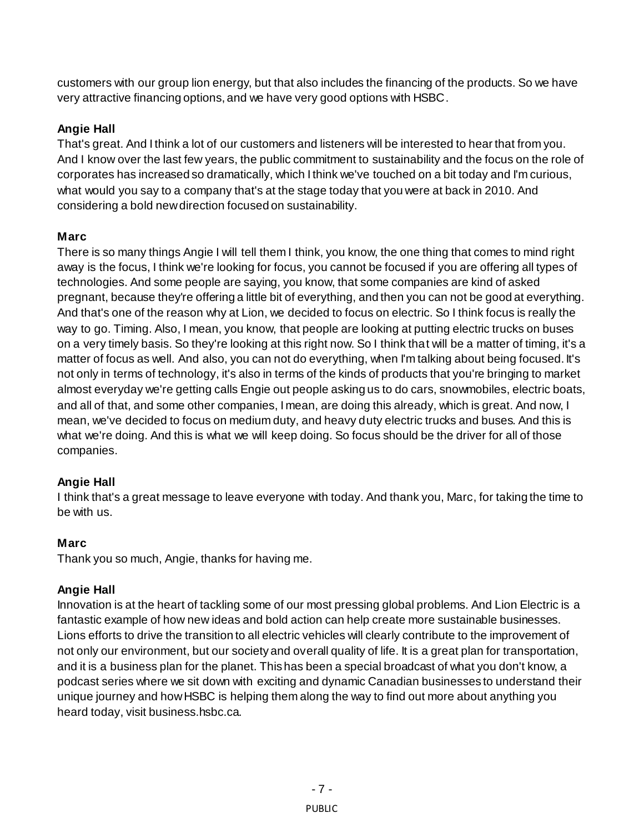customers with our group lion energy, but that also includes the financing of the products. So we have very attractive financing options, and we have very good options with HSBC.

# **Angie Hall**

That's great. And I think a lot of our customers and listeners will be interested to hear that from you. And I know over the last few years, the public commitment to sustainability and the focus on the role of corporates has increased so dramatically, which I think we've touched on a bit today and I'm curious, what would you say to a company that's at the stage today that you were at back in 2010. And considering a bold new direction focused on sustainability.

# **Marc**

There is so many things Angie I will tell them I think, you know, the one thing that comes to mind right away is the focus, I think we're looking for focus, you cannot be focused if you are offering all types of technologies. And some people are saying, you know, that some companies are kind of asked pregnant, because they're offering a little bit of everything, and then you can not be good at everything. And that's one of the reason why at Lion, we decided to focus on electric. So I think focus is really the way to go. Timing. Also, I mean, you know, that people are looking at putting electric trucks on buses on a very timely basis. So they're looking at this right now. So I think that will be a matter of timing, it's a matter of focus as well. And also, you can not do everything, when I'm talking about being focused. It's not only in terms of technology, it's also in terms of the kinds of products that you're bringing to market almost everyday we're getting calls Engie out people asking us to do cars, snowmobiles, electric boats, and all of that, and some other companies, I mean, are doing this already, which is great. And now, I mean, we've decided to focus on medium duty, and heavy duty electric trucks and buses. And this is what we're doing. And this is what we will keep doing. So focus should be the driver for all of those companies.

## **Angie Hall**

I think that's a great message to leave everyone with today. And thank you, Marc, for taking the time to be with us.

## **Marc**

Thank you so much, Angie, thanks for having me.

# **Angie Hall**

Innovation is at the heart of tackling some of our most pressing global problems. And Lion Electric is a fantastic example of how new ideas and bold action can help create more sustainable businesses. Lions efforts to drive the transition to all electric vehicles will clearly contribute to the improvement of not only our environment, but our society and overall quality of life. It is a great plan for transportation, and it is a business plan for the planet. This has been a special broadcast of what you don't know, a podcast series where we sit down with exciting and dynamic Canadian businesses to understand their unique journey and how HSBC is helping them along the way to find out more about anything you heard today, visit business.hsbc.ca.